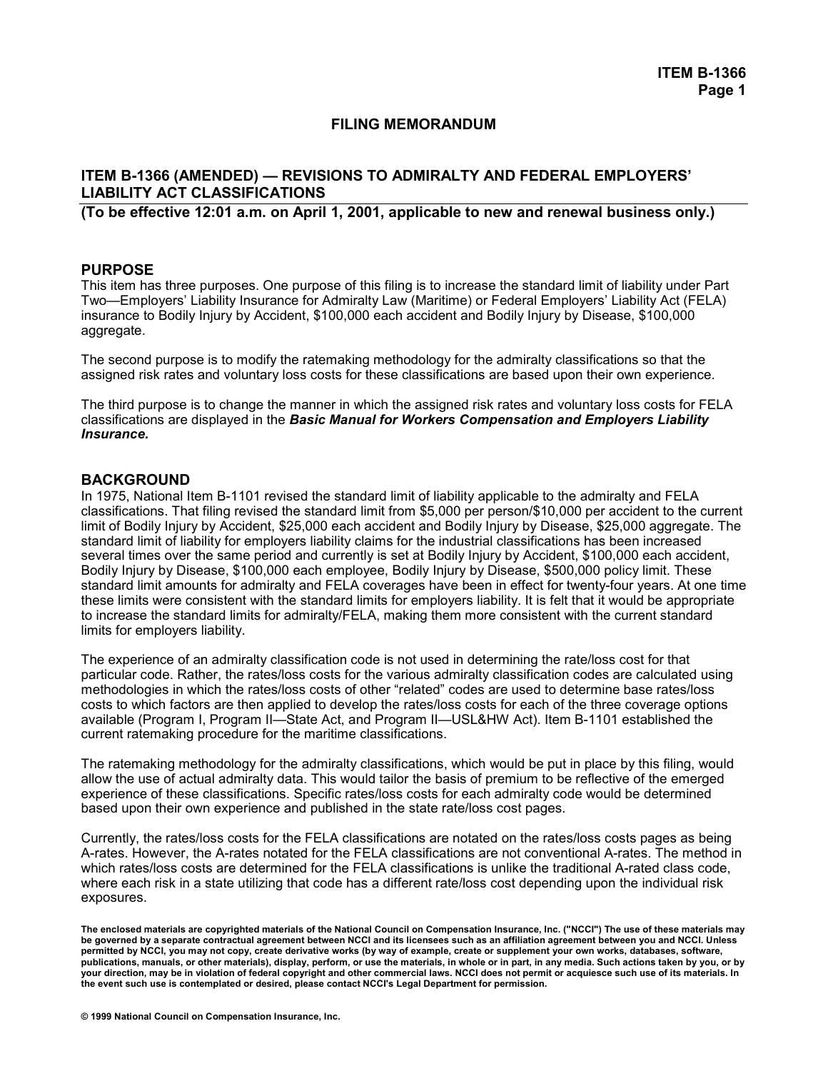## **FILING MEMORANDUM**

# **ITEM B-1366 (AMENDED) — REVISIONS TO ADMIRALTY AND FEDERAL EMPLOYERS' LIABILITY ACT CLASSIFICATIONS**

**(To be effective 12:01 a.m. on April 1, 2001, applicable to new and renewal business only.)** 

## **PURPOSE**

This item has three purposes. One purpose of this filing is to increase the standard limit of liability under Part Two—Employers' Liability Insurance for Admiralty Law (Maritime) or Federal Employers' Liability Act (FELA) insurance to Bodily Injury by Accident, \$100,000 each accident and Bodily Injury by Disease, \$100,000 aggregate.

The second purpose is to modify the ratemaking methodology for the admiralty classifications so that the assigned risk rates and voluntary loss costs for these classifications are based upon their own experience.

The third purpose is to change the manner in which the assigned risk rates and voluntary loss costs for FELA classifications are displayed in the *Basic Manual for Workers Compensation and Employers Liability Insurance.*

## **BACKGROUND**

In 1975, National Item B-1101 revised the standard limit of liability applicable to the admiralty and FELA classifications. That filing revised the standard limit from \$5,000 per person/\$10,000 per accident to the current limit of Bodily Injury by Accident, \$25,000 each accident and Bodily Injury by Disease, \$25,000 aggregate. The standard limit of liability for employers liability claims for the industrial classifications has been increased several times over the same period and currently is set at Bodily Injury by Accident, \$100,000 each accident, Bodily Injury by Disease, \$100,000 each employee, Bodily Injury by Disease, \$500,000 policy limit. These standard limit amounts for admiralty and FELA coverages have been in effect for twenty-four years. At one time these limits were consistent with the standard limits for employers liability. It is felt that it would be appropriate to increase the standard limits for admiralty/FELA, making them more consistent with the current standard limits for employers liability.

The experience of an admiralty classification code is not used in determining the rate/loss cost for that particular code. Rather, the rates/loss costs for the various admiralty classification codes are calculated using methodologies in which the rates/loss costs of other "related" codes are used to determine base rates/loss costs to which factors are then applied to develop the rates/loss costs for each of the three coverage options available (Program I, Program II—State Act, and Program II—USL&HW Act). Item B-1101 established the current ratemaking procedure for the maritime classifications.

The ratemaking methodology for the admiralty classifications, which would be put in place by this filing, would allow the use of actual admiralty data. This would tailor the basis of premium to be reflective of the emerged experience of these classifications. Specific rates/loss costs for each admiralty code would be determined based upon their own experience and published in the state rate/loss cost pages.

Currently, the rates/loss costs for the FELA classifications are notated on the rates/loss costs pages as being A-rates. However, the A-rates notated for the FELA classifications are not conventional A-rates. The method in which rates/loss costs are determined for the FELA classifications is unlike the traditional A-rated class code, where each risk in a state utilizing that code has a different rate/loss cost depending upon the individual risk exposures.

**The enclosed materials are copyrighted materials of the National Council on Compensation Insurance, Inc. ("NCCI") The use of these materials may be governed by a separate contractual agreement between NCCI and its licensees such as an affiliation agreement between you and NCCI. Unless permitted by NCCI, you may not copy, create derivative works (by way of example, create or supplement your own works, databases, software, publications, manuals, or other materials), display, perform, or use the materials, in whole or in part, in any media. Such actions taken by you, or by your direction, may be in violation of federal copyright and other commercial laws. NCCI does not permit or acquiesce such use of its materials. In the event such use is contemplated or desired, please contact NCCI's Legal Department for permission.**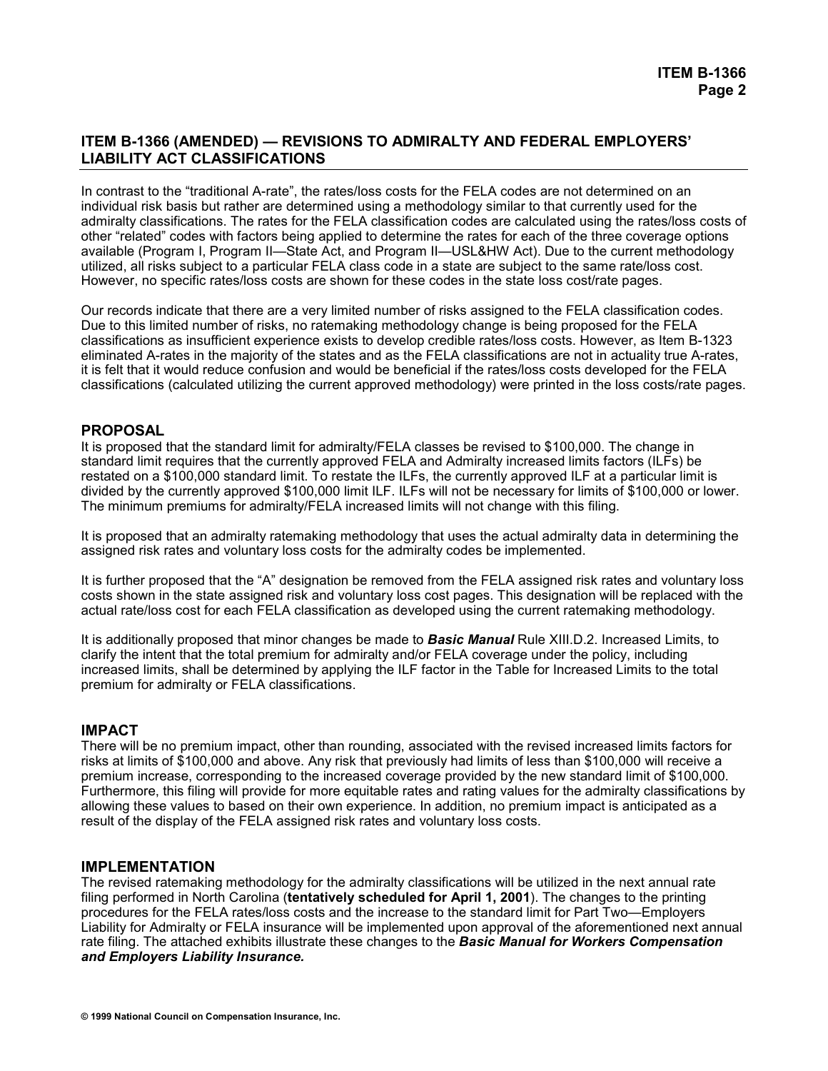In contrast to the "traditional A-rate", the rates/loss costs for the FELA codes are not determined on an individual risk basis but rather are determined using a methodology similar to that currently used for the admiralty classifications. The rates for the FELA classification codes are calculated using the rates/loss costs of other "related" codes with factors being applied to determine the rates for each of the three coverage options available (Program I, Program II—State Act, and Program II—USL&HW Act). Due to the current methodology utilized, all risks subject to a particular FELA class code in a state are subject to the same rate/loss cost. However, no specific rates/loss costs are shown for these codes in the state loss cost/rate pages.

Our records indicate that there are a very limited number of risks assigned to the FELA classification codes. Due to this limited number of risks, no ratemaking methodology change is being proposed for the FELA classifications as insufficient experience exists to develop credible rates/loss costs. However, as Item B-1323 eliminated A-rates in the majority of the states and as the FELA classifications are not in actuality true A-rates, it is felt that it would reduce confusion and would be beneficial if the rates/loss costs developed for the FELA classifications (calculated utilizing the current approved methodology) were printed in the loss costs/rate pages.

# **PROPOSAL**

It is proposed that the standard limit for admiralty/FELA classes be revised to \$100,000. The change in standard limit requires that the currently approved FELA and Admiralty increased limits factors (ILFs) be restated on a \$100,000 standard limit. To restate the ILFs, the currently approved ILF at a particular limit is divided by the currently approved \$100,000 limit ILF. ILFs will not be necessary for limits of \$100,000 or lower. The minimum premiums for admiralty/FELA increased limits will not change with this filing.

It is proposed that an admiralty ratemaking methodology that uses the actual admiralty data in determining the assigned risk rates and voluntary loss costs for the admiralty codes be implemented.

It is further proposed that the "A" designation be removed from the FELA assigned risk rates and voluntary loss costs shown in the state assigned risk and voluntary loss cost pages. This designation will be replaced with the actual rate/loss cost for each FELA classification as developed using the current ratemaking methodology.

It is additionally proposed that minor changes be made to *Basic Manual* Rule XIII.D.2. Increased Limits, to clarify the intent that the total premium for admiralty and/or FELA coverage under the policy, including increased limits, shall be determined by applying the ILF factor in the Table for Increased Limits to the total premium for admiralty or FELA classifications.

# **IMPACT**

There will be no premium impact, other than rounding, associated with the revised increased limits factors for risks at limits of \$100,000 and above. Any risk that previously had limits of less than \$100,000 will receive a premium increase, corresponding to the increased coverage provided by the new standard limit of \$100,000. Furthermore, this filing will provide for more equitable rates and rating values for the admiralty classifications by allowing these values to based on their own experience. In addition, no premium impact is anticipated as a result of the display of the FELA assigned risk rates and voluntary loss costs.

## **IMPLEMENTATION**

The revised ratemaking methodology for the admiralty classifications will be utilized in the next annual rate filing performed in North Carolina (**tentatively scheduled for April 1, 2001**). The changes to the printing procedures for the FELA rates/loss costs and the increase to the standard limit for Part Two—Employers Liability for Admiralty or FELA insurance will be implemented upon approval of the aforementioned next annual rate filing. The attached exhibits illustrate these changes to the *Basic Manual for Workers Compensation and Employers Liability Insurance.*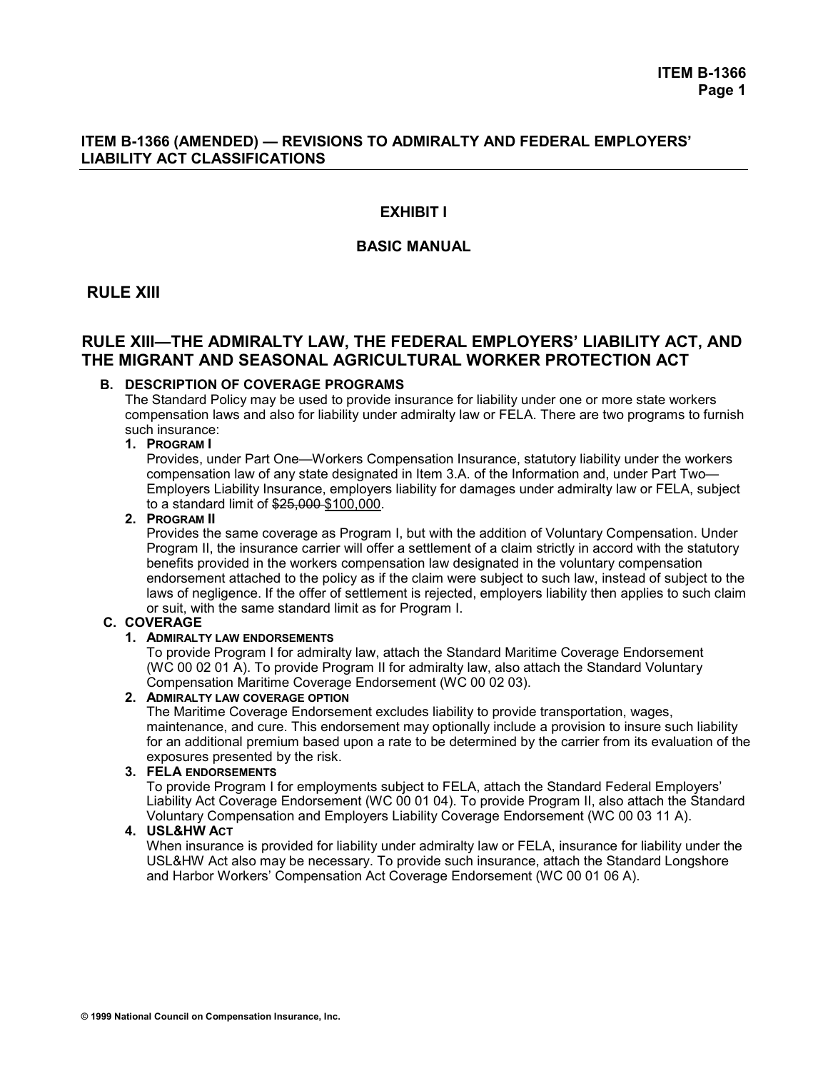# **EXHIBIT I**

# **BASIC MANUAL**

# **RULE XIII**

# **RULE XIII—THE ADMIRALTY LAW, THE FEDERAL EMPLOYERS' LIABILITY ACT, AND THE MIGRANT AND SEASONAL AGRICULTURAL WORKER PROTECTION ACT**

## **B. DESCRIPTION OF COVERAGE PROGRAMS**

 The Standard Policy may be used to provide insurance for liability under one or more state workers compensation laws and also for liability under admiralty law or FELA. There are two programs to furnish such insurance:

### **1. PROGRAM I**

 Provides, under Part One—Workers Compensation Insurance, statutory liability under the workers compensation law of any state designated in Item 3.A. of the Information and, under Part Two— Employers Liability Insurance, employers liability for damages under admiralty law or FELA, subject to a standard limit of \$25,000 \$100,000.

#### **2. PROGRAM II**

 Provides the same coverage as Program I, but with the addition of Voluntary Compensation. Under Program II, the insurance carrier will offer a settlement of a claim strictly in accord with the statutory benefits provided in the workers compensation law designated in the voluntary compensation endorsement attached to the policy as if the claim were subject to such law, instead of subject to the laws of negligence. If the offer of settlement is rejected, employers liability then applies to such claim or suit, with the same standard limit as for Program I.

## **C. COVERAGE**

## **1. ADMIRALTY LAW ENDORSEMENTS**

 To provide Program I for admiralty law, attach the Standard Maritime Coverage Endorsement (WC 00 02 01 A). To provide Program II for admiralty law, also attach the Standard Voluntary Compensation Maritime Coverage Endorsement (WC 00 02 03).

## **2. ADMIRALTY LAW COVERAGE OPTION**

 The Maritime Coverage Endorsement excludes liability to provide transportation, wages, maintenance, and cure. This endorsement may optionally include a provision to insure such liability for an additional premium based upon a rate to be determined by the carrier from its evaluation of the exposures presented by the risk.

## **3. FELA ENDORSEMENTS**

 To provide Program I for employments subject to FELA, attach the Standard Federal Employers' Liability Act Coverage Endorsement (WC 00 01 04). To provide Program II, also attach the Standard Voluntary Compensation and Employers Liability Coverage Endorsement (WC 00 03 11 A).

#### **4. USL&HW ACT**

 When insurance is provided for liability under admiralty law or FELA, insurance for liability under the USL&HW Act also may be necessary. To provide such insurance, attach the Standard Longshore and Harbor Workers' Compensation Act Coverage Endorsement (WC 00 01 06 A).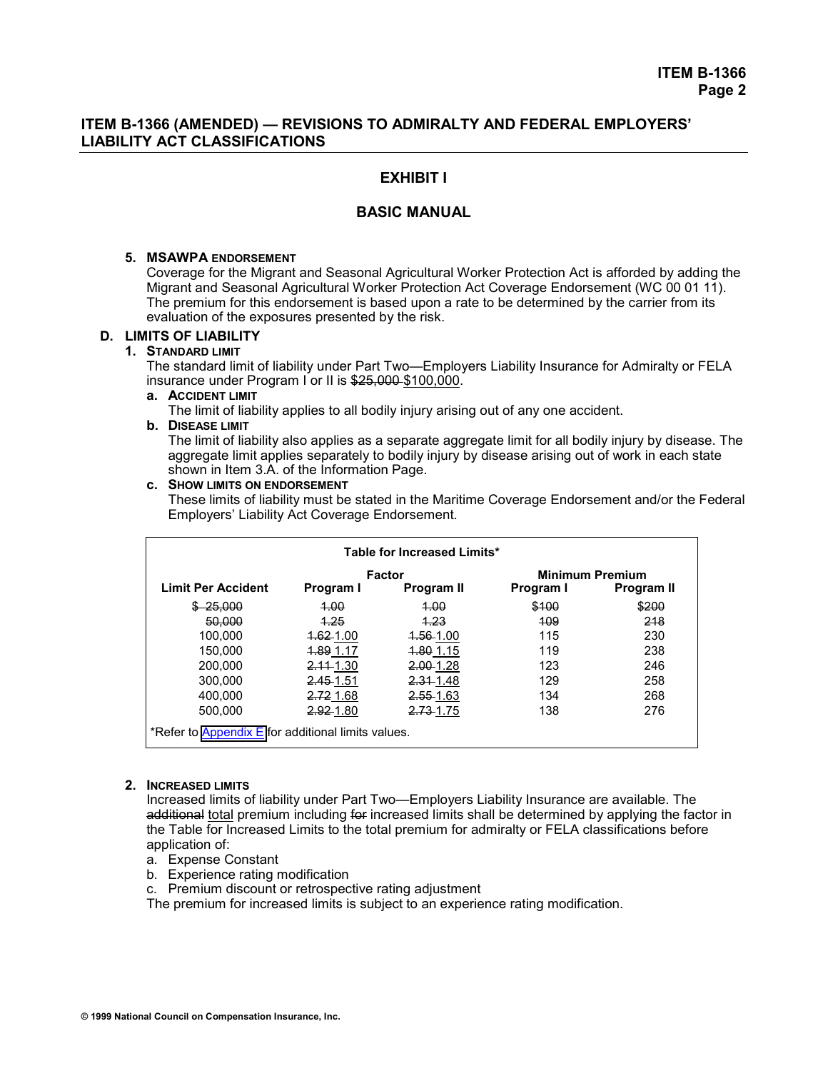# **EXHIBIT I**

## **BASIC MANUAL**

## **5. MSAWPA ENDORSEMENT**

 Coverage for the Migrant and Seasonal Agricultural Worker Protection Act is afforded by adding the Migrant and Seasonal Agricultural Worker Protection Act Coverage Endorsement (WC 00 01 11). The premium for this endorsement is based upon a rate to be determined by the carrier from its evaluation of the exposures presented by the risk.

## **D. LIMITS OF LIABILITY**

## **1. STANDARD LIMIT**

 The standard limit of liability under Part Two—Employers Liability Insurance for Admiralty or FELA insurance under Program I or II is \$25,000 \$100,000.

 **a. ACCIDENT LIMIT**

The limit of liability applies to all bodily injury arising out of any one accident.

#### **b. DISEASE LIMIT**

 The limit of liability also applies as a separate aggregate limit for all bodily injury by disease. The aggregate limit applies separately to bodily injury by disease arising out of work in each state shown in Item 3.A. of the Information Page.

#### **c. SHOW LIMITS ON ENDORSEMENT**

 These limits of liability must be stated in the Maritime Coverage Endorsement and/or the Federal Employers' Liability Act Coverage Endorsement.

| Table for Increased Limits*                        |                       |               |                        |            |  |  |  |  |  |
|----------------------------------------------------|-----------------------|---------------|------------------------|------------|--|--|--|--|--|
|                                                    |                       | <b>Factor</b> | <b>Minimum Premium</b> |            |  |  |  |  |  |
| <b>Limit Per Accident</b>                          | Program I             | Program II    | Program I              | Program II |  |  |  |  |  |
| <del>25.000</del>                                  | 4.00                  | 4.00          | \$100                  | \$200      |  |  |  |  |  |
| 50,000                                             | 4.25                  | 4.23          | 409                    | 218        |  |  |  |  |  |
| 100.000                                            | <del>1.62</del> -1.00 | 1.56-1.00     | 115                    | 230        |  |  |  |  |  |
| 150.000                                            | 1.89 1.17             | 1.80 1.15     | 119                    | 238        |  |  |  |  |  |
| 200.000                                            | $2.11 - 1.30$         | 2.00-1.28     | 123                    | 246        |  |  |  |  |  |
| 300,000                                            | 2.45 1.51             | 2.31 1.48     | 129                    | 258        |  |  |  |  |  |
| 400.000                                            | 2.72 1.68             | 2.55 1.63     | 134                    | 268        |  |  |  |  |  |
| 500.000                                            | 2.92-1.80             | 2.73-1.75     | 138                    | 276        |  |  |  |  |  |
| *Refer to Appendix E for additional limits values. |                       |               |                        |            |  |  |  |  |  |

#### **2. INCREASED LIMITS**

 Increased limits of liability under Part Two—Employers Liability Insurance are available. The additional total premium including for increased limits shall be determined by applying the factor in the Table for Increased Limits to the total premium for admiralty or FELA classifications before application of:

- a. Expense Constant
- b. Experience rating modification
- c. Premium discount or retrospective rating adjustment

The premium for increased limits is subject to an experience rating modification.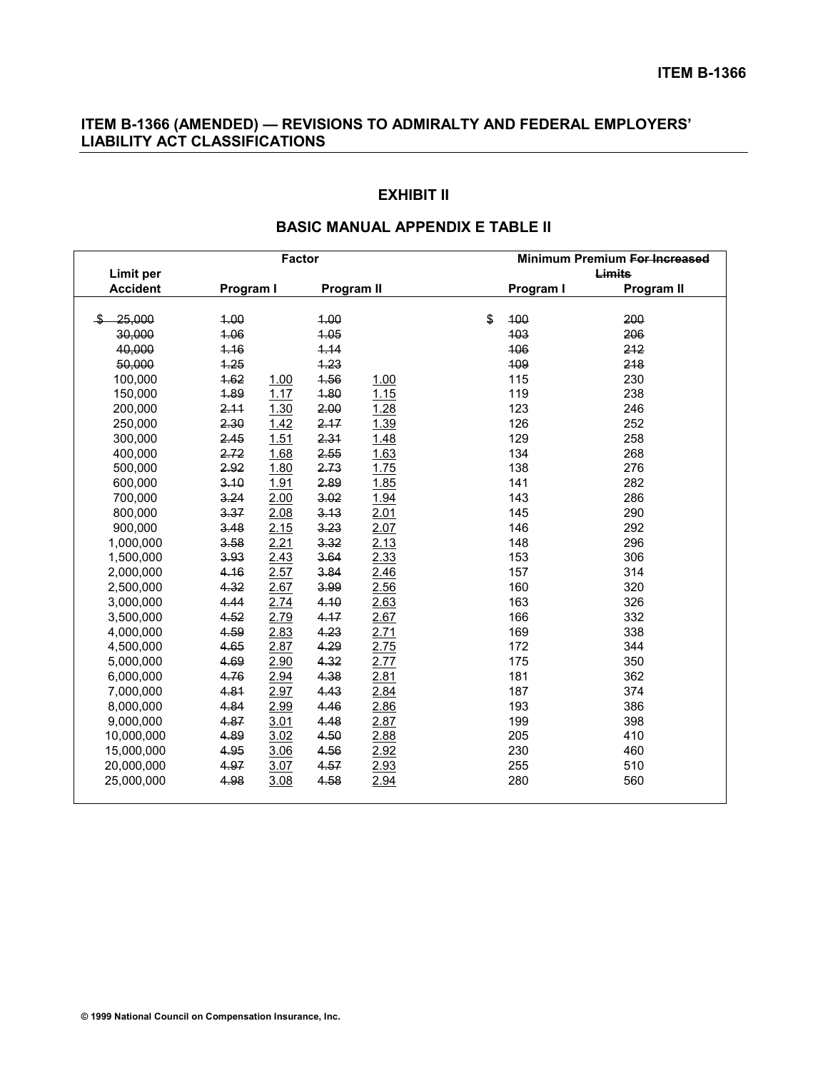# **EXHIBIT II**

| <b>Factor</b>   |           |              | Minimum Premium For Increased |           |            |
|-----------------|-----------|--------------|-------------------------------|-----------|------------|
| Limit per       |           |              | Limits                        |           |            |
| <b>Accident</b> | Program I | Program II   |                               | Program I | Program II |
|                 |           |              |                               |           |            |
| 25.000          | 1.00      | 4.00         |                               | \$<br>100 | 200        |
| 30,000          | 4.06      | 4.05         |                               | 403       | 206        |
| 40,000          | 4.16      | 4.14         |                               | 406       | 212        |
| 50,000          | 4.25      | 4.23         |                               | 109       | 218        |
| 100,000         | 4.62      | 4.56<br>1.00 | 1.00                          | 115       | 230        |
| 150,000         | 1.89      | 4.80<br>1.17 | 1.15                          | 119       | 238        |
| 200,000         | 2.11      | 2.00<br>1.30 | 1.28                          | 123       | 246        |
| 250,000         | 2.30      | 2.17<br>1.42 | 1.39                          | 126       | 252        |
| 300,000         | 2.45      | 1.51<br>2.31 | 1.48                          | 129       | 258        |
| 400,000         | 2.72      | 2.55<br>1.68 | 1.63                          | 134       | 268        |
| 500,000         | 2.92      | 2.73<br>1.80 | 1.75                          | 138       | 276        |
| 600,000         | 3.10      | 1.91<br>2.89 | 1.85                          | 141       | 282        |
| 700,000         | 3.24      | 3.02<br>2.00 | 1.94                          | 143       | 286        |
| 800,000         | 3.37      | 2.08<br>3.13 | 2.01                          | 145       | 290        |
| 900,000         | 3.48      | 3.23<br>2.15 | 2.07                          | 146       | 292        |
| 1,000,000       | 3.58      | 2.21<br>3.32 | 2.13                          | 148       | 296        |
| 1,500,000       | 3.93      | 3.64<br>2.43 | 2.33                          | 153       | 306        |
| 2,000,000       | 4.16      | 2.57<br>3.84 | 2.46                          | 157       | 314        |
| 2,500,000       | 4.32      | 2.67<br>3.99 | 2.56                          | 160       | 320        |
| 3,000,000       | 4.44      | 2.74<br>4.10 | 2.63                          | 163       | 326        |
| 3,500,000       | 4.52      | 2.79<br>4.17 | 2.67                          | 166       | 332        |
| 4,000,000       | 4.59      | 2.83<br>4.23 | 2.71                          | 169       | 338        |
| 4,500,000       | 4.65      | 4.29<br>2.87 | 2.75                          | 172       | 344        |
| 5,000,000       | 4.69      | 4.32<br>2.90 | 2.77                          | 175       | 350        |
| 6,000,000       | 4.76      | 4.38<br>2.94 | 2.81                          | 181       | 362        |
| 7,000,000       | 4.81      | 2.97<br>4.43 | 2.84                          | 187       | 374        |
| 8,000,000       | 4.84      | 4.46<br>2.99 | 2.86                          | 193       | 386        |
| 9,000,000       | 4.87      | 3.01<br>4.48 | 2.87                          | 199       | 398        |
| 10,000,000      | 4.89      | 4.50<br>3.02 | 2.88                          | 205       | 410        |
| 15,000,000      | 4.95      | 4.56<br>3.06 | 2.92                          | 230       | 460        |
| 20,000,000      | 4.97      | 3.07<br>4.57 | 2.93                          | 255       | 510        |
| 25,000,000      | 4.98      | 4.58<br>3.08 | 2.94                          | 280       | 560        |
|                 |           |              |                               |           |            |

# **BASIC MANUAL APPENDIX E TABLE II**